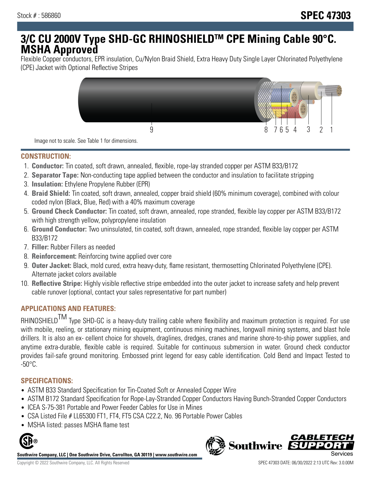# **3/C CU 2000V Type SHD-GC RHINOSHIELDTM CPE Mining Cable 90°C. MSHA Approved**

Flexible Copper conductors, EPR insulation, Cu/Nylon Braid Shield, Extra Heavy Duty Single Layer Chlorinated Polyethylene (CPE) Jacket with Optional Reflective Stripes



Image not to scale. See Table 1 for dimensions.

## **CONSTRUCTION:**

- 1. **Conductor:** Tin coated, soft drawn, annealed, flexible, rope-lay stranded copper per ASTM B33/B172
- 2. **Separator Tape:** Non-conducting tape applied between the conductor and insulation to facilitate stripping
- 3. **Insulation:** Ethylene Propylene Rubber (EPR)
- 4. **Braid Shield:** Tin coated, soft drawn, annealed, copper braid shield (60% minimum coverage), combined with colour coded nylon (Black, Blue, Red) with a 40% maximum coverage
- 5. **Ground Check Conductor:** Tin coated, soft drawn, annealed, rope stranded, flexible lay copper per ASTM B33/B172 with high strength yellow, polypropylene insulation
- 6. **Ground Conductor:** Two uninsulated, tin coated, soft drawn, annealed, rope stranded, flexible lay copper per ASTM B33/B172
- 7. **Filler:** Rubber Fillers as needed
- 8. **Reinforcement:** Reinforcing twine applied over core
- 9. **Outer Jacket:** Black, mold cured, extra heavy-duty, flame resistant, thermosetting Chlorinated Polyethylene (CPE). Alternate jacket colors available
- 10. **Reflective Stripe:** Highly visible reflective stripe embedded into the outer jacket to increase safety and help prevent cable runover (optional, contact your sales representative for part number)

# **APPLICATIONS AND FEATURES:**

RHINOSHIELD<sup>TM</sup> Type SHD-GC is a heavy-duty trailing cable where flexibility and maximum protection is required. For use with mobile, reeling, or stationary mining equipment, continuous mining machines, longwall mining systems, and blast hole drillers. It is also an ex- cellent choice for shovels, draglines, dredges, cranes and marine shore-to-ship power supplies, and anytime extra-durable, flexible cable is required. Suitable for continuous submersion in water. Ground check conductor provides fail-safe ground monitoring. Embossed print legend for easy cable identification. Cold Bend and Impact Tested to  $-50^{\circ}$ C.

# **SPECIFICATIONS:**

- ASTM B33 Standard Specification for Tin-Coated Soft or Annealed Copper Wire
- ASTM B172 Standard Specification for Rope-Lay-Stranded Copper Conductors Having Bunch-Stranded Copper Conductors
- ICEA S-75-381 Portable and Power Feeder Cables for Use in Mines
- CSA Listed File # LL65300 FT1, FT4, FT5 CSA C22.2, No. 96 Portable Power Cables
- MSHA listed: passes MSHA flame test



**Southwire Company, LLC | One Southwire Drive, Carrollton, GA 30119 | www.southwire.com**

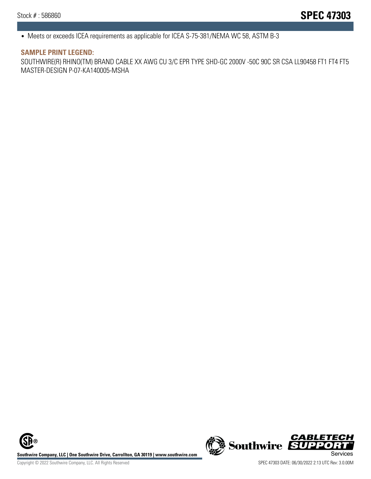• Meets or exceeds ICEA requirements as applicable for ICEA S-75-381/NEMA WC 58, ASTM B-3

#### **SAMPLE PRINT LEGEND:**

SOUTHWIRE(R) RHINO(TM) BRAND CABLE XX AWG CU 3/C EPR TYPE SHD-GC 2000V -50C 90C SR CSA LL90458 FT1 FT4 FT5 MASTER-DESIGN P-07-KA140005-MSHA

**Southwire Company, LLC | One Southwire Drive, Carrollton, GA 30119 | www.southwire.com**<br>Services